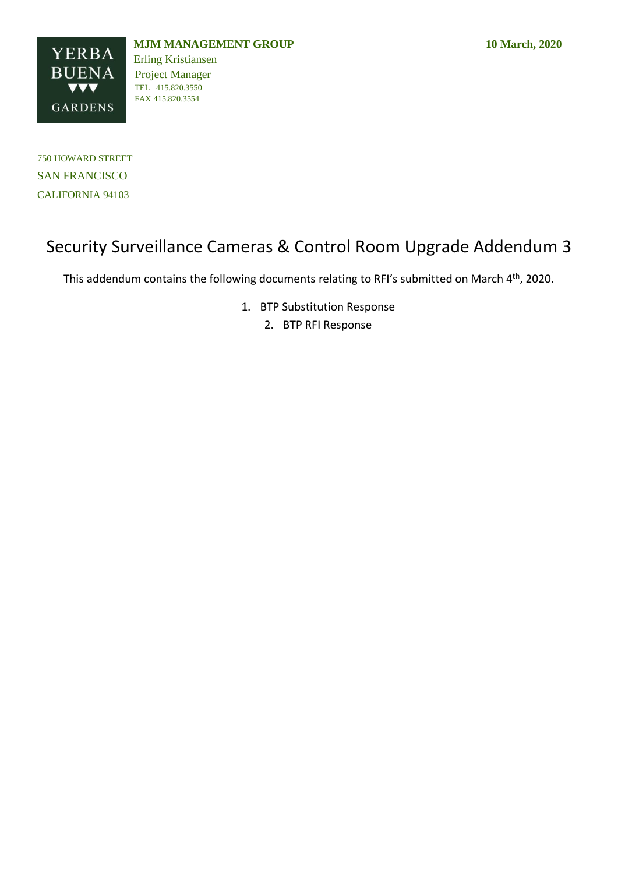

TEL 415.820.3550

750 HOWARD STREET SAN FRANCISCO CALIFORNIA 94103

# Security Surveillance Cameras & Control Room Upgrade Addendum 3

This addendum contains the following documents relating to RFI's submitted on March 4<sup>th</sup>, 2020.

1. BTP Substitution Response

2. BTP RFI Response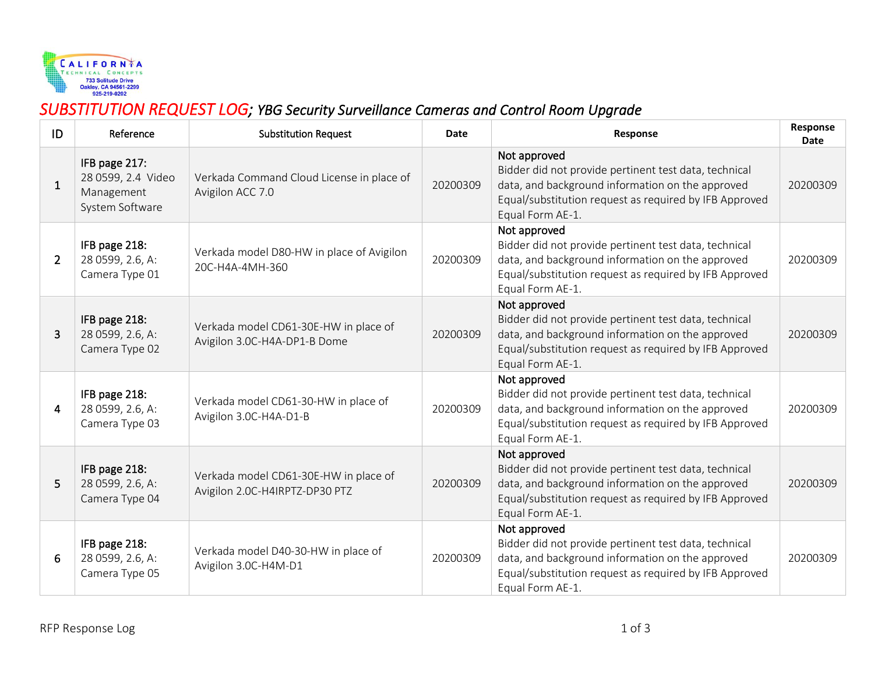

## *SUBSTITUTION REQUEST LOG; YBG Security Surveillance Cameras and Control Room Upgrade*

| ID             | Reference                                                            | <b>Substitution Request</b>                                             | Date     | Response                                                                                                                                                                                                | Response<br><b>Date</b> |
|----------------|----------------------------------------------------------------------|-------------------------------------------------------------------------|----------|---------------------------------------------------------------------------------------------------------------------------------------------------------------------------------------------------------|-------------------------|
| $\mathbf{1}$   | IFB page 217:<br>28 0599, 2.4 Video<br>Management<br>System Software | Verkada Command Cloud License in place of<br>Avigilon ACC 7.0           | 20200309 | Not approved<br>Bidder did not provide pertinent test data, technical<br>data, and background information on the approved<br>Equal/substitution request as required by IFB Approved<br>Equal Form AE-1. | 20200309                |
| $\overline{2}$ | IFB page 218:<br>28 0599, 2.6, A:<br>Camera Type 01                  | Verkada model D80-HW in place of Avigilon<br>20C-H4A-4MH-360            | 20200309 | Not approved<br>Bidder did not provide pertinent test data, technical<br>data, and background information on the approved<br>Equal/substitution request as required by IFB Approved<br>Equal Form AE-1. | 20200309                |
| 3              | IFB page 218:<br>28 0599, 2.6, A:<br>Camera Type 02                  | Verkada model CD61-30E-HW in place of<br>Avigilon 3.0C-H4A-DP1-B Dome   | 20200309 | Not approved<br>Bidder did not provide pertinent test data, technical<br>data, and background information on the approved<br>Equal/substitution request as required by IFB Approved<br>Equal Form AE-1. | 20200309                |
| 4              | IFB page 218:<br>28 0599, 2.6, A:<br>Camera Type 03                  | Verkada model CD61-30-HW in place of<br>Avigilon 3.0C-H4A-D1-B          | 20200309 | Not approved<br>Bidder did not provide pertinent test data, technical<br>data, and background information on the approved<br>Equal/substitution request as required by IFB Approved<br>Equal Form AE-1. | 20200309                |
| 5              | IFB page 218:<br>28 0599, 2.6, A:<br>Camera Type 04                  | Verkada model CD61-30E-HW in place of<br>Avigilon 2.0C-H4IRPTZ-DP30 PTZ | 20200309 | Not approved<br>Bidder did not provide pertinent test data, technical<br>data, and background information on the approved<br>Equal/substitution request as required by IFB Approved<br>Equal Form AE-1. | 20200309                |
| 6              | IFB page 218:<br>28 0599, 2.6, A:<br>Camera Type 05                  | Verkada model D40-30-HW in place of<br>Avigilon 3.0C-H4M-D1             | 20200309 | Not approved<br>Bidder did not provide pertinent test data, technical<br>data, and background information on the approved<br>Equal/substitution request as required by IFB Approved<br>Equal Form AE-1. | 20200309                |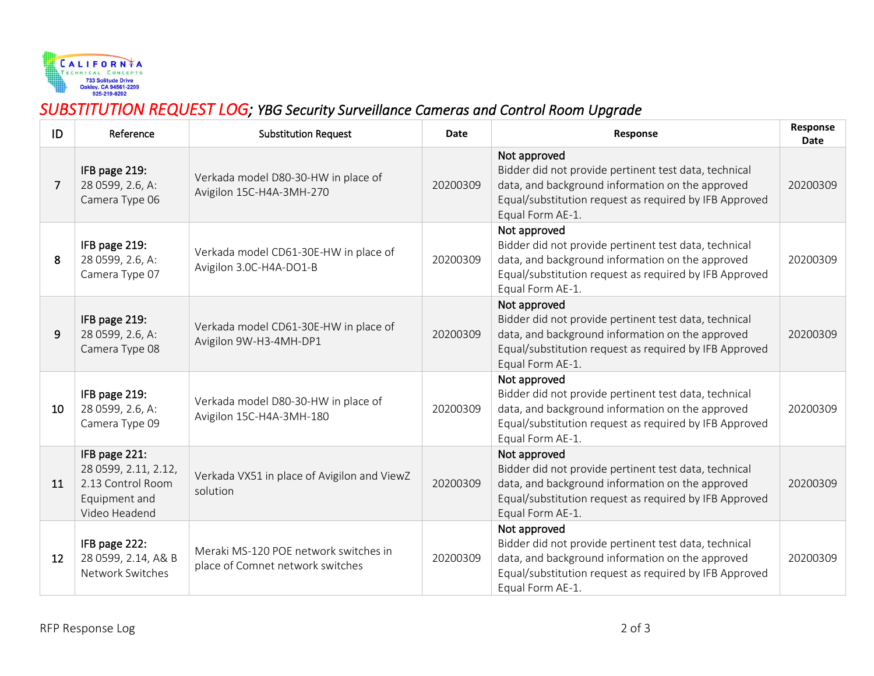

## *SUBSTITUTION REQUEST LOG; YBG Security Surveillance Cameras and Control Room Upgrade*

| ID | Reference                                                                                    | <b>Substitution Request</b>                                               | Date     | Response                                                                                                                                                                                                | Response<br><b>Date</b> |
|----|----------------------------------------------------------------------------------------------|---------------------------------------------------------------------------|----------|---------------------------------------------------------------------------------------------------------------------------------------------------------------------------------------------------------|-------------------------|
| 7  | IFB page 219:<br>28 0599, 2.6, A:<br>Camera Type 06                                          | Verkada model D80-30-HW in place of<br>Avigilon 15C-H4A-3MH-270           | 20200309 | Not approved<br>Bidder did not provide pertinent test data, technical<br>data, and background information on the approved<br>Equal/substitution request as required by IFB Approved<br>Equal Form AE-1. | 20200309                |
| 8  | IFB page 219:<br>28 0599, 2.6, A:<br>Camera Type 07                                          | Verkada model CD61-30E-HW in place of<br>Avigilon 3.0C-H4A-DO1-B          | 20200309 | Not approved<br>Bidder did not provide pertinent test data, technical<br>data, and background information on the approved<br>Equal/substitution request as required by IFB Approved<br>Equal Form AE-1. | 20200309                |
| 9  | IFB page 219:<br>28 0599, 2.6, A:<br>Camera Type 08                                          | Verkada model CD61-30E-HW in place of<br>Avigilon 9W-H3-4MH-DP1           | 20200309 | Not approved<br>Bidder did not provide pertinent test data, technical<br>data, and background information on the approved<br>Equal/substitution request as required by IFB Approved<br>Equal Form AE-1. | 20200309                |
| 10 | IFB page 219:<br>28 0599, 2.6, A:<br>Camera Type 09                                          | Verkada model D80-30-HW in place of<br>Avigilon 15C-H4A-3MH-180           | 20200309 | Not approved<br>Bidder did not provide pertinent test data, technical<br>data, and background information on the approved<br>Equal/substitution request as required by IFB Approved<br>Equal Form AE-1. | 20200309                |
| 11 | IFB page 221:<br>28 0599, 2.11, 2.12,<br>2.13 Control Room<br>Equipment and<br>Video Headend | Verkada VX51 in place of Avigilon and ViewZ<br>solution                   | 20200309 | Not approved<br>Bidder did not provide pertinent test data, technical<br>data, and background information on the approved<br>Equal/substitution request as required by IFB Approved<br>Equal Form AE-1. | 20200309                |
| 12 | IFB page 222:<br>28 0599, 2.14, A& B<br>Network Switches                                     | Meraki MS-120 POE network switches in<br>place of Comnet network switches | 20200309 | Not approved<br>Bidder did not provide pertinent test data, technical<br>data, and background information on the approved<br>Equal/substitution request as required by IFB Approved<br>Equal Form AE-1. | 20200309                |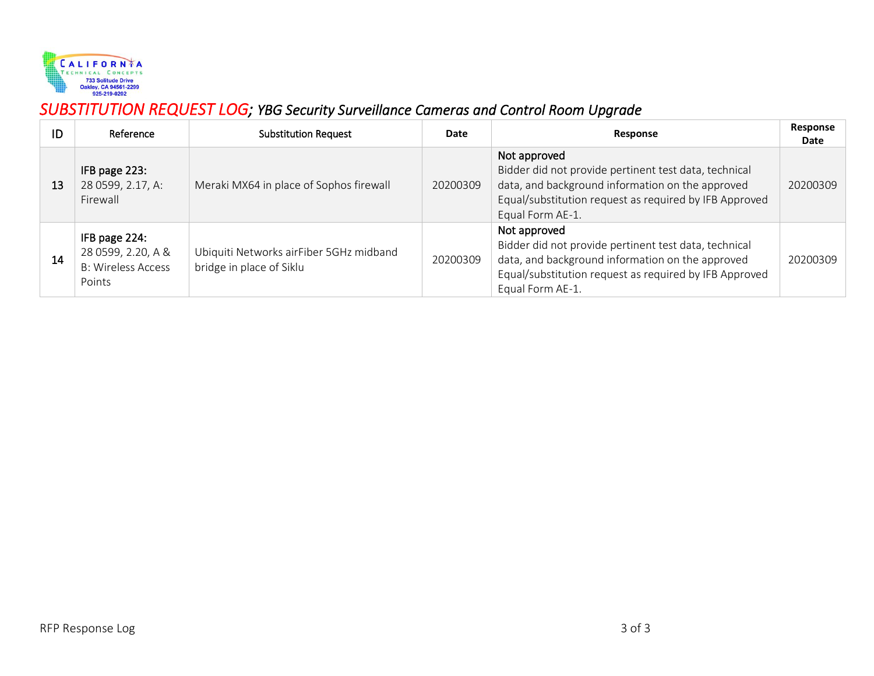

## *SUBSTITUTION REQUEST LOG; YBG Security Surveillance Cameras and Control Room Upgrade*

| ID | Reference                                                                  | <b>Substitution Request</b>                                         | Date     | Response                                                                                                                                                                                                | Response<br>Date |
|----|----------------------------------------------------------------------------|---------------------------------------------------------------------|----------|---------------------------------------------------------------------------------------------------------------------------------------------------------------------------------------------------------|------------------|
| 13 | IFB page 223:<br>28 0599, 2.17, A:<br>Firewall                             | Meraki MX64 in place of Sophos firewall                             | 20200309 | Not approved<br>Bidder did not provide pertinent test data, technical<br>data, and background information on the approved<br>Equal/substitution request as required by IFB Approved<br>Equal Form AE-1. | 20200309         |
| 14 | IFB page 224:<br>28 0599, 2.20, A &<br><b>B: Wireless Access</b><br>Points | Ubiquiti Networks airFiber 5GHz midband<br>bridge in place of Siklu | 20200309 | Not approved<br>Bidder did not provide pertinent test data, technical<br>data, and background information on the approved<br>Equal/substitution request as required by IFB Approved<br>Equal Form AE-1. | 20200309         |